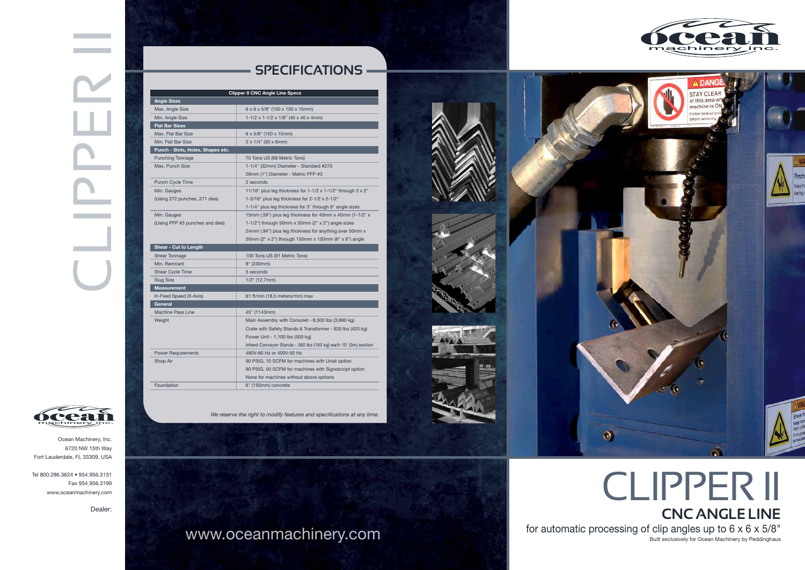

Ocean Machinery, Inc. 6720 NW 15th Way Fort Lauderdale, FL 33309, USA

Tel 800.286.3624 • 954.956.3131 Fax 954.956.3199 www.oceanmachinery.com

Dealer:











# **SPECIFICATIONS**



| <b>Clipper II CNC Angle Line Specs</b><br><b>Angle Sizes</b> |                                                                             |
|--------------------------------------------------------------|-----------------------------------------------------------------------------|
|                                                              |                                                                             |
| Min. Angle Size                                              | $1-1/2 \times 1-1/2 \times 1/8$ " (40 x 40 x 4mm)                           |
| <b>Flat Bar Sizes</b>                                        |                                                                             |
| Max. Flat Bar Size                                           | $6 \times 5/8$ " (150 x 15mm)                                               |
| Min. Flat Bar Size                                           | $2 \times 1/4$ " (50 x 6mm)                                                 |
| Punch - Slots, Holes, Shapes etc.                            |                                                                             |
| <b>Punching Tonnage</b>                                      | 75 Tons US (68 Metric Tons)                                                 |
| Max. Punch Size                                              | 1-1/4" (32mm) Diameter - Standard #270                                      |
|                                                              | 26mm (1") Diameter - Metric PFP #3                                          |
| <b>Punch Cycle Time</b>                                      | 2 seconds                                                                   |
| Min. Gauges                                                  | 11/16" plus leg thickness for $1-1/2 \times 1-1/2$ " through $2 \times 2$ " |
| (Using 272 punches, 271 dies)                                | 1-3/16" plus leg thickness for $2-1/2 \times 2-1/2$ "                       |
|                                                              | 1-1/4" plus leg thickness for 3" through 6" angle sizes                     |
| Min. Gauges                                                  | 15mm (.59") plus leg thickness for 40mm x 40mm (1-1/2" x                    |
| (Using PFP #3 punches and dies)                              | 1-1/2") through 50mm $x$ 50mm (2" $x$ 2") angle sizes                       |
|                                                              | 24mm (.94") plus leg thickness for anything over 50mm x                     |
|                                                              | 50mm (2" x 2") through 150mm x 150mm (6" x 6") angle                        |
| <b>Shear - Cut to Length</b>                                 |                                                                             |
| Shear Tonnage                                                | 100 Tons US (91 Metric Tons)                                                |
| Min. Remnant                                                 | 9" (230mm)                                                                  |
| <b>Shear Cycle Time</b>                                      | 5 seconds                                                                   |
| Slug Size                                                    | $1/2$ " (12.7mm)                                                            |
| <b>Measurement</b>                                           |                                                                             |
| In-Feed Speed (X-Axis)                                       | 61 ft/min (18.5 meters/min) max                                             |
| General                                                      |                                                                             |
| <b>Machine Pass Line</b>                                     | 45" (1143mm)                                                                |
| Weight                                                       | Main Assembly with Consolet - 8,500 lbs (3,860 kg)                          |
|                                                              | Crate with Safety Stands & Transformer - 930 lbs (420 kg)                   |
|                                                              | Power Unit - 1,100 lbs (500 kg)                                             |
|                                                              | Infeed Conveyor Stands - 360 lbs (163 kg) each 10' (3m) section             |
| <b>Power Requirements</b>                                    | 480V-60 Hz or 400V-50 Hz                                                    |
| Shop Air                                                     | 90 PSIG, 10 SCFM for machines with Unist option                             |
|                                                              | 90 PSIG, 50 SCFM for machines with Signoscript option                       |
|                                                              | None for machines without above options                                     |
| Foundation                                                   | 6" (150mm) concrete                                                         |

We reserve the right to modify features and specifications at any time.